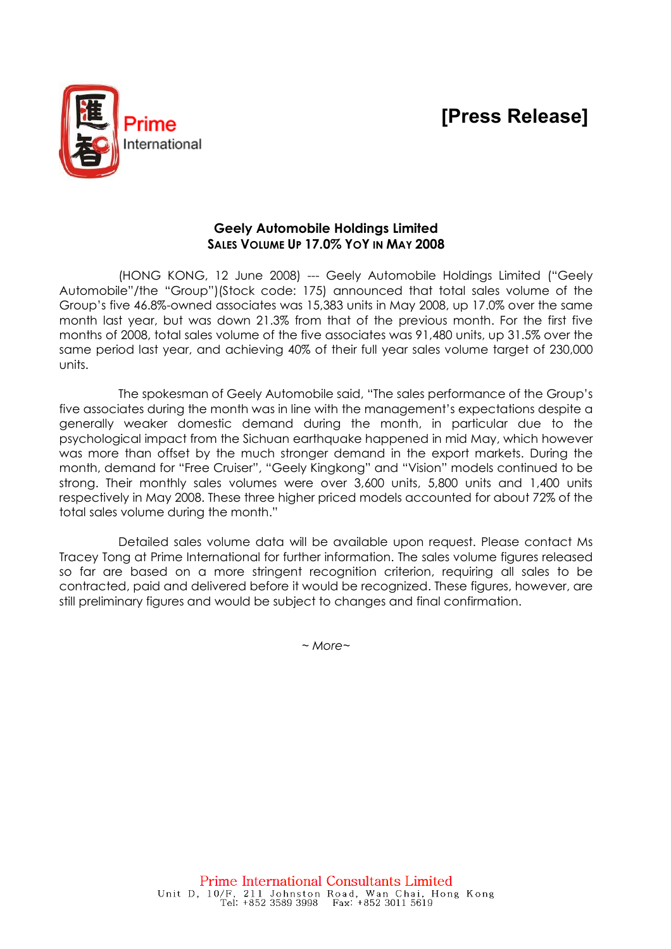# [Press Release]



## Geely Automobile Holdings Limited SALES VOLUME UP 17.0% YOY IN MAY 2008

(HONG KONG, 12 June 2008) --- Geely Automobile Holdings Limited ("Geely Automobile"/the "Group")(Stock code: 175) announced that total sales volume of the Group's five 46.8%-owned associates was 15,383 units in May 2008, up 17.0% over the same month last year, but was down 21.3% from that of the previous month. For the first five months of 2008, total sales volume of the five associates was 91,480 units, up 31.5% over the same period last year, and achieving 40% of their full year sales volume target of 230,000 units.

The spokesman of Geely Automobile said, "The sales performance of the Group's five associates during the month was in line with the management's expectations despite a generally weaker domestic demand during the month, in particular due to the psychological impact from the Sichuan earthquake happened in mid May, which however was more than offset by the much stronger demand in the export markets. During the month, demand for "Free Cruiser", "Geely Kingkong" and "Vision" models continued to be strong. Their monthly sales volumes were over 3,600 units, 5,800 units and 1,400 units respectively in May 2008. These three higher priced models accounted for about 72% of the total sales volume during the month."

Detailed sales volume data will be available upon request. Please contact Ms Tracey Tong at Prime International for further information. The sales volume figures released so far are based on a more stringent recognition criterion, requiring all sales to be contracted, paid and delivered before it would be recognized. These figures, however, are still preliminary figures and would be subject to changes and final confirmation.

 $~\sim$  More $\sim$